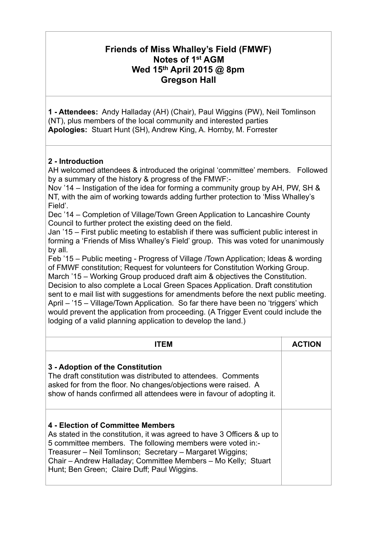## **Friends of Miss Whalley's Field (FMWF) Notes of 1st AGM Wed 15th April 2015 @ 8pm Gregson Hall**

**1 - Attendees:** Andy Halladay (AH) (Chair), Paul Wiggins (PW), Neil Tomlinson (NT), plus members of the local community and interested parties **Apologies:** Stuart Hunt (SH), Andrew King, A. Hornby, M. Forrester

## **2 - Introduction**

AH welcomed attendees & introduced the original 'committee' members. Followed by a summary of the history & progress of the FMWF:-

Nov '14 – Instigation of the idea for forming a community group by AH, PW, SH & NT, with the aim of working towards adding further protection to 'Miss Whalley's Field'.

Dec '14 – Completion of Village/Town Green Application to Lancashire County Council to further protect the existing deed on the field.

Jan '15 – First public meeting to establish if there was sufficient public interest in forming a 'Friends of Miss Whalley's Field' group. This was voted for unanimously by all.

Feb '15 – Public meeting - Progress of Village /Town Application; Ideas & wording of FMWF constitution; Request for volunteers for Constitution Working Group. March '15 – Working Group produced draft aim & objectives the Constitution. Decision to also complete a Local Green Spaces Application. Draft constitution sent to e mail list with suggestions for amendments before the next public meeting. April – '15 – Village/Town Application. So far there have been no 'triggers' which would prevent the application from proceeding. (A Trigger Event could include the lodging of a valid planning application to develop the land.)

| IIEM                                                                                                                                                                                                                                                                                                                                                    | <b>ACTION</b> |
|---------------------------------------------------------------------------------------------------------------------------------------------------------------------------------------------------------------------------------------------------------------------------------------------------------------------------------------------------------|---------------|
| 3 - Adoption of the Constitution<br>The draft constitution was distributed to attendees. Comments<br>asked for from the floor. No changes/objections were raised. A<br>show of hands confirmed all attendees were in favour of adopting it.                                                                                                             |               |
| 4 - Election of Committee Members<br>As stated in the constitution, it was agreed to have 3 Officers & up to<br>5 committee members. The following members were voted in:-<br>Treasurer - Neil Tomlinson; Secretary - Margaret Wiggins;<br>Chair - Andrew Halladay; Committee Members - Mo Kelly; Stuart<br>Hunt; Ben Green; Claire Duff; Paul Wiggins. |               |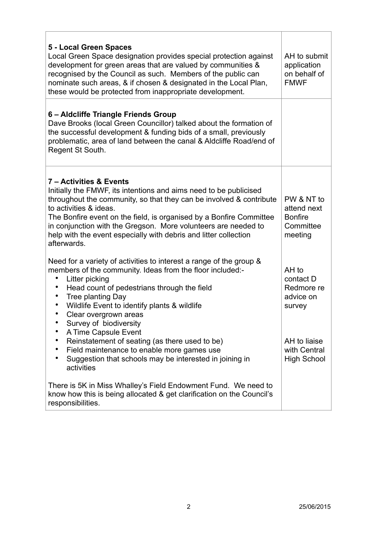| 5 - Local Green Spaces<br>Local Green Space designation provides special protection against<br>development for green areas that are valued by communities &<br>recognised by the Council as such. Members of the public can<br>nominate such areas, & if chosen & designated in the Local Plan,<br>these would be protected from inappropriate development.                                                                                                                                                  | AH to submit<br>application<br>on behalf of<br><b>FMWF</b>                                                    |
|--------------------------------------------------------------------------------------------------------------------------------------------------------------------------------------------------------------------------------------------------------------------------------------------------------------------------------------------------------------------------------------------------------------------------------------------------------------------------------------------------------------|---------------------------------------------------------------------------------------------------------------|
| 6 – Aldcliffe Triangle Friends Group<br>Dave Brooks (local Green Councillor) talked about the formation of<br>the successful development & funding bids of a small, previously<br>problematic, area of land between the canal & Aldcliffe Road/end of<br>Regent St South.                                                                                                                                                                                                                                    |                                                                                                               |
| 7 - Activities & Events<br>Initially the FMWF, its intentions and aims need to be publicised<br>throughout the community, so that they can be involved & contribute<br>to activities & ideas.<br>The Bonfire event on the field, is organised by a Bonfire Committee<br>in conjunction with the Gregson. More volunteers are needed to<br>help with the event especially with debris and litter collection<br>afterwards.                                                                                    | PW & NT to<br>attend next<br><b>Bonfire</b><br>Committee<br>meeting                                           |
| Need for a variety of activities to interest a range of the group &<br>members of the community. Ideas from the floor included:-<br>Litter picking<br>Head count of pedestrians through the field<br>Tree planting Day<br>Wildlife Event to identify plants & wildlife<br>Clear overgrown areas<br>Survey of biodiversity<br>A Time Capsule Event<br>Reinstatement of seating (as there used to be)<br>Field maintenance to enable more games use<br>Suggestion that schools may be interested in joining in | AH to<br>contact D<br>Redmore re<br>advice on<br>survey<br>AH to liaise<br>with Central<br><b>High School</b> |
| activities<br>There is 5K in Miss Whalley's Field Endowment Fund. We need to<br>know how this is being allocated & get clarification on the Council's<br>responsibilities.                                                                                                                                                                                                                                                                                                                                   |                                                                                                               |